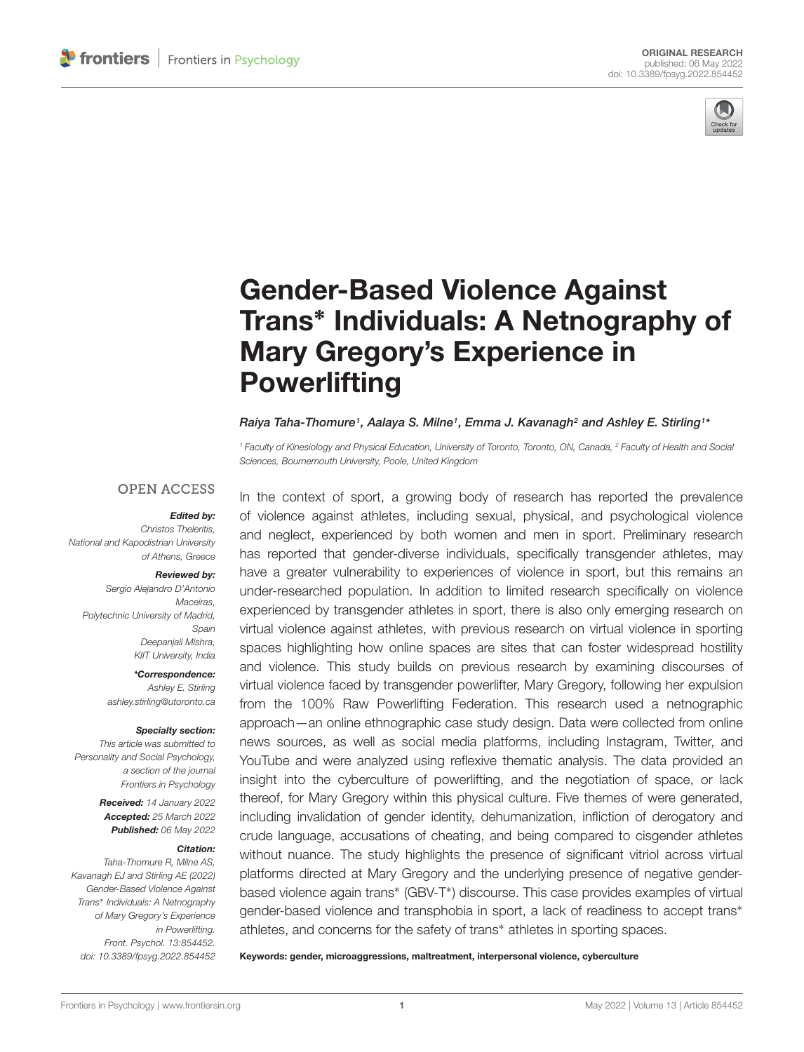![](_page_0_Picture_2.jpeg)

# [Gender-Based Violence Against](https://www.frontiersin.org/articles/10.3389/fpsyg.2022.854452/full) Trans<sup>∗</sup> Individuals: A Netnography of Mary Gregory's Experience in **Powerlifting**

#### Raiya Taha-Thomure1, Aalaya S. Milne1, Emma J. Kavanagh<sup>2</sup> and Ashley E. Stirling1\*

<sup>1</sup> Faculty of Kinesiology and Physical Education, University of Toronto, Toronto, ON, Canada, <sup>2</sup> Faculty of Health and Social Sciences, Bournemouth University, Poole, United Kingdom

#### **OPEN ACCESS**

#### Edited by:

Christos Theleritis, National and Kapodistrian University of Athens, Greece

#### Reviewed by:

Sergio Alejandro D'Antonio Maceiras, Polytechnic University of Madrid, Spain Deepanjali Mishra, KIIT University, India

> \*Correspondence: Ashley E. Stirling ashley.stirling@utoronto.ca

#### Specialty section:

This article was submitted to Personality and Social Psychology, a section of the journal Frontiers in Psychology

> Received: 14 January 2022 Accepted: 25 March 2022 Published: 06 May 2022

#### Citation:

Taha-Thomure R, Milne AS, Kavanagh EJ and Stirling AE (2022) Gender-Based Violence Against Trans<sup>∗</sup> Individuals: A Netnography of Mary Gregory's Experience in Powerlifting. Front. Psychol. 13:854452. doi: [10.3389/fpsyg.2022.854452](https://doi.org/10.3389/fpsyg.2022.854452) In the context of sport, a growing body of research has reported the prevalence of violence against athletes, including sexual, physical, and psychological violence and neglect, experienced by both women and men in sport. Preliminary research has reported that gender-diverse individuals, specifically transgender athletes, may have a greater vulnerability to experiences of violence in sport, but this remains an under-researched population. In addition to limited research specifically on violence experienced by transgender athletes in sport, there is also only emerging research on virtual violence against athletes, with previous research on virtual violence in sporting spaces highlighting how online spaces are sites that can foster widespread hostility and violence. This study builds on previous research by examining discourses of virtual violence faced by transgender powerlifter, Mary Gregory, following her expulsion from the 100% Raw Powerlifting Federation. This research used a netnographic approach—an online ethnographic case study design. Data were collected from online news sources, as well as social media platforms, including Instagram, Twitter, and YouTube and were analyzed using reflexive thematic analysis. The data provided an insight into the cyberculture of powerlifting, and the negotiation of space, or lack thereof, for Mary Gregory within this physical culture. Five themes of were generated, including invalidation of gender identity, dehumanization, infliction of derogatory and crude language, accusations of cheating, and being compared to cisgender athletes without nuance. The study highlights the presence of significant vitriol across virtual platforms directed at Mary Gregory and the underlying presence of negative genderbased violence again trans<sup>\*</sup> (GBV-T<sup>\*</sup>) discourse. This case provides examples of virtual gender-based violence and transphobia in sport, a lack of readiness to accept trans<sup>∗</sup> athletes, and concerns for the safety of trans<sup>∗</sup> athletes in sporting spaces.

Keywords: gender, microaggressions, maltreatment, interpersonal violence, cyberculture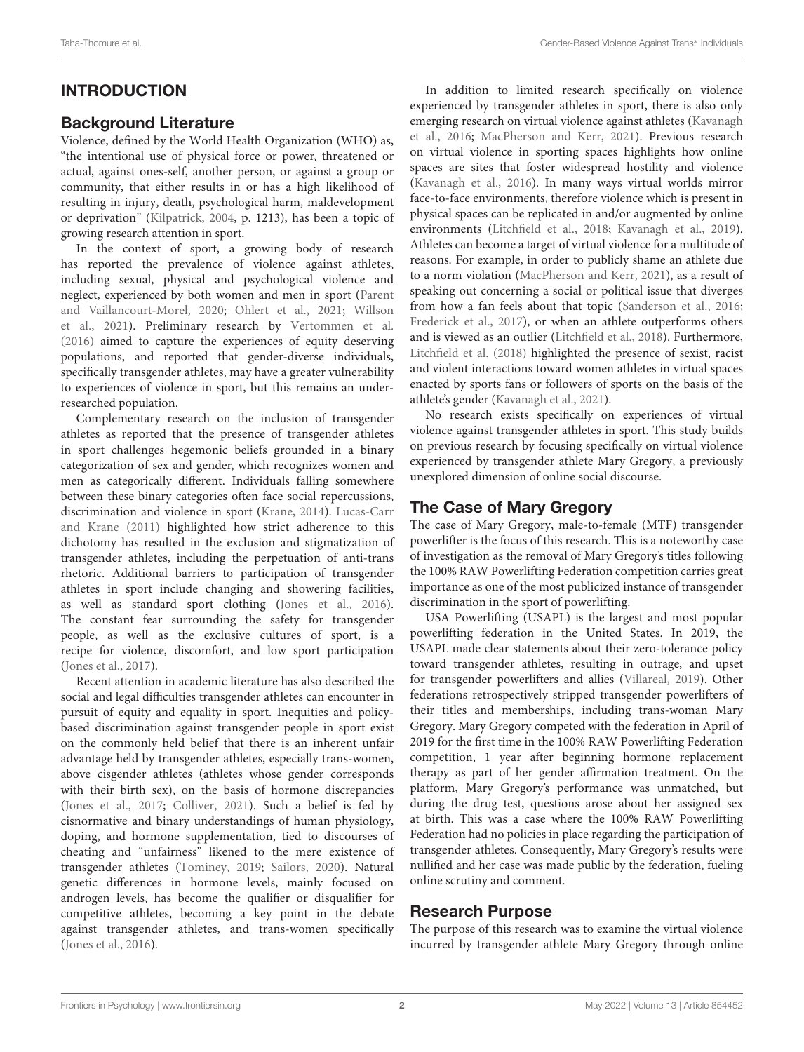# INTRODUCTION

#### Background Literature

Violence, defined by the World Health Organization (WHO) as, "the intentional use of physical force or power, threatened or actual, against ones-self, another person, or against a group or community, that either results in or has a high likelihood of resulting in injury, death, psychological harm, maldevelopment or deprivation" [\(Kilpatrick,](#page-7-0) [2004,](#page-7-0) p. 1213), has been a topic of growing research attention in sport.

In the context of sport, a growing body of research has reported the prevalence of violence against athletes, including sexual, physical and psychological violence and neglect, experienced by both women and men in sport [\(Parent](#page-7-1) [and Vaillancourt-Morel,](#page-7-1) [2020;](#page-7-1) [Ohlert et al.,](#page-7-2) [2021;](#page-7-2) [Willson](#page-8-0) [et al.,](#page-8-0) [2021\)](#page-8-0). Preliminary research by [Vertommen et al.](#page-8-1) [\(2016\)](#page-8-1) aimed to capture the experiences of equity deserving populations, and reported that gender-diverse individuals, specifically transgender athletes, may have a greater vulnerability to experiences of violence in sport, but this remains an underresearched population.

Complementary research on the inclusion of transgender athletes as reported that the presence of transgender athletes in sport challenges hegemonic beliefs grounded in a binary categorization of sex and gender, which recognizes women and men as categorically different. Individuals falling somewhere between these binary categories often face social repercussions, discrimination and violence in sport [\(Krane,](#page-7-3) [2014\)](#page-7-3). [Lucas-Carr](#page-7-4) [and Krane](#page-7-4) [\(2011\)](#page-7-4) highlighted how strict adherence to this dichotomy has resulted in the exclusion and stigmatization of transgender athletes, including the perpetuation of anti-trans rhetoric. Additional barriers to participation of transgender athletes in sport include changing and showering facilities, as well as standard sport clothing [\(Jones et al.,](#page-7-5) [2016\)](#page-7-5). The constant fear surrounding the safety for transgender people, as well as the exclusive cultures of sport, is a recipe for violence, discomfort, and low sport participation [\(Jones et al.,](#page-7-6) [2017\)](#page-7-6).

Recent attention in academic literature has also described the social and legal difficulties transgender athletes can encounter in pursuit of equity and equality in sport. Inequities and policybased discrimination against transgender people in sport exist on the commonly held belief that there is an inherent unfair advantage held by transgender athletes, especially trans-women, above cisgender athletes (athletes whose gender corresponds with their birth sex), on the basis of hormone discrepancies [\(Jones et al.,](#page-7-6) [2017;](#page-7-6) [Colliver,](#page-7-7) [2021\)](#page-7-7). Such a belief is fed by cisnormative and binary understandings of human physiology, doping, and hormone supplementation, tied to discourses of cheating and "unfairness" likened to the mere existence of transgender athletes [\(Tominey,](#page-8-2) [2019;](#page-8-2) [Sailors,](#page-7-8) [2020\)](#page-7-8). Natural genetic differences in hormone levels, mainly focused on androgen levels, has become the qualifier or disqualifier for competitive athletes, becoming a key point in the debate against transgender athletes, and trans-women specifically [\(Jones et al.,](#page-7-5) [2016\)](#page-7-5).

In addition to limited research specifically on violence experienced by transgender athletes in sport, there is also only emerging research on virtual violence against athletes [\(Kavanagh](#page-7-9) [et al.,](#page-7-9) [2016;](#page-7-9) [MacPherson and Kerr,](#page-7-10) [2021\)](#page-7-10). Previous research on virtual violence in sporting spaces highlights how online spaces are sites that foster widespread hostility and violence [\(Kavanagh et al.,](#page-7-9) [2016\)](#page-7-9). In many ways virtual worlds mirror face-to-face environments, therefore violence which is present in physical spaces can be replicated in and/or augmented by online environments [\(Litchfield et al.,](#page-7-11) [2018;](#page-7-11) [Kavanagh et al.,](#page-7-12) [2019\)](#page-7-12). Athletes can become a target of virtual violence for a multitude of reasons. For example, in order to publicly shame an athlete due to a norm violation [\(MacPherson and Kerr,](#page-7-10) [2021\)](#page-7-10), as a result of speaking out concerning a social or political issue that diverges from how a fan feels about that topic [\(Sanderson et al.,](#page-7-13) [2016;](#page-7-13) [Frederick et al.,](#page-7-14) [2017\)](#page-7-14), or when an athlete outperforms others and is viewed as an outlier [\(Litchfield et al.,](#page-7-11) [2018\)](#page-7-11). Furthermore, [Litchfield et al.](#page-7-11) [\(2018\)](#page-7-11) highlighted the presence of sexist, racist and violent interactions toward women athletes in virtual spaces enacted by sports fans or followers of sports on the basis of the athlete's gender [\(Kavanagh et al.,](#page-7-15) [2021\)](#page-7-15).

No research exists specifically on experiences of virtual violence against transgender athletes in sport. This study builds on previous research by focusing specifically on virtual violence experienced by transgender athlete Mary Gregory, a previously unexplored dimension of online social discourse.

# The Case of Mary Gregory

The case of Mary Gregory, male-to-female (MTF) transgender powerlifter is the focus of this research. This is a noteworthy case of investigation as the removal of Mary Gregory's titles following the 100% RAW Powerlifting Federation competition carries great importance as one of the most publicized instance of transgender discrimination in the sport of powerlifting.

USA Powerlifting (USAPL) is the largest and most popular powerlifting federation in the United States. In 2019, the USAPL made clear statements about their zero-tolerance policy toward transgender athletes, resulting in outrage, and upset for transgender powerlifters and allies [\(Villareal,](#page-8-3) [2019\)](#page-8-3). Other federations retrospectively stripped transgender powerlifters of their titles and memberships, including trans-woman Mary Gregory. Mary Gregory competed with the federation in April of 2019 for the first time in the 100% RAW Powerlifting Federation competition, 1 year after beginning hormone replacement therapy as part of her gender affirmation treatment. On the platform, Mary Gregory's performance was unmatched, but during the drug test, questions arose about her assigned sex at birth. This was a case where the 100% RAW Powerlifting Federation had no policies in place regarding the participation of transgender athletes. Consequently, Mary Gregory's results were nullified and her case was made public by the federation, fueling online scrutiny and comment.

#### Research Purpose

The purpose of this research was to examine the virtual violence incurred by transgender athlete Mary Gregory through online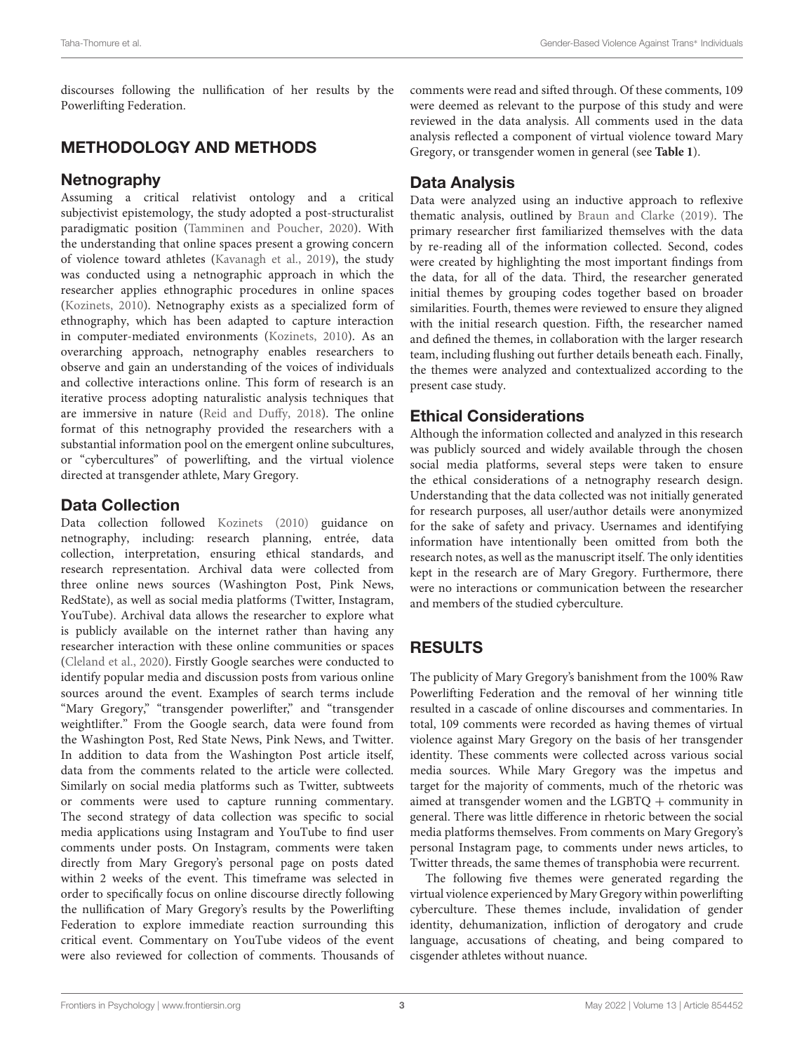discourses following the nullification of her results by the Powerlifting Federation.

# METHODOLOGY AND METHODS

# Netnography

Assuming a critical relativist ontology and a critical subjectivist epistemology, the study adopted a post-structuralist paradigmatic position [\(Tamminen and Poucher,](#page-8-4) [2020\)](#page-8-4). With the understanding that online spaces present a growing concern of violence toward athletes [\(Kavanagh et al.,](#page-7-12) [2019\)](#page-7-12), the study was conducted using a netnographic approach in which the researcher applies ethnographic procedures in online spaces [\(Kozinets,](#page-7-16) [2010\)](#page-7-16). Netnography exists as a specialized form of ethnography, which has been adapted to capture interaction in computer-mediated environments [\(Kozinets,](#page-7-16) [2010\)](#page-7-16). As an overarching approach, netnography enables researchers to observe and gain an understanding of the voices of individuals and collective interactions online. This form of research is an iterative process adopting naturalistic analysis techniques that are immersive in nature [\(Reid and Duffy,](#page-7-17) [2018\)](#page-7-17). The online format of this netnography provided the researchers with a substantial information pool on the emergent online subcultures, or "cybercultures" of powerlifting, and the virtual violence directed at transgender athlete, Mary Gregory.

# Data Collection

Data collection followed [Kozinets](#page-7-16) [\(2010\)](#page-7-16) guidance on netnography, including: research planning, entrée, data collection, interpretation, ensuring ethical standards, and research representation. Archival data were collected from three online news sources (Washington Post, Pink News, RedState), as well as social media platforms (Twitter, Instagram, YouTube). Archival data allows the researcher to explore what is publicly available on the internet rather than having any researcher interaction with these online communities or spaces [\(Cleland et al.,](#page-7-18) [2020\)](#page-7-18). Firstly Google searches were conducted to identify popular media and discussion posts from various online sources around the event. Examples of search terms include "Mary Gregory," "transgender powerlifter," and "transgender weightlifter." From the Google search, data were found from the Washington Post, Red State News, Pink News, and Twitter. In addition to data from the Washington Post article itself, data from the comments related to the article were collected. Similarly on social media platforms such as Twitter, subtweets or comments were used to capture running commentary. The second strategy of data collection was specific to social media applications using Instagram and YouTube to find user comments under posts. On Instagram, comments were taken directly from Mary Gregory's personal page on posts dated within 2 weeks of the event. This timeframe was selected in order to specifically focus on online discourse directly following the nullification of Mary Gregory's results by the Powerlifting Federation to explore immediate reaction surrounding this critical event. Commentary on YouTube videos of the event were also reviewed for collection of comments. Thousands of comments were read and sifted through. Of these comments, 109 were deemed as relevant to the purpose of this study and were reviewed in the data analysis. All comments used in the data analysis reflected a component of virtual violence toward Mary Gregory, or transgender women in general (see **[Table 1](#page-3-0)**).

# Data Analysis

Data were analyzed using an inductive approach to reflexive thematic analysis, outlined by [Braun and Clarke](#page-7-19) [\(2019\)](#page-7-19). The primary researcher first familiarized themselves with the data by re-reading all of the information collected. Second, codes were created by highlighting the most important findings from the data, for all of the data. Third, the researcher generated initial themes by grouping codes together based on broader similarities. Fourth, themes were reviewed to ensure they aligned with the initial research question. Fifth, the researcher named and defined the themes, in collaboration with the larger research team, including flushing out further details beneath each. Finally, the themes were analyzed and contextualized according to the present case study.

# Ethical Considerations

Although the information collected and analyzed in this research was publicly sourced and widely available through the chosen social media platforms, several steps were taken to ensure the ethical considerations of a netnography research design. Understanding that the data collected was not initially generated for research purposes, all user/author details were anonymized for the sake of safety and privacy. Usernames and identifying information have intentionally been omitted from both the research notes, as well as the manuscript itself. The only identities kept in the research are of Mary Gregory. Furthermore, there were no interactions or communication between the researcher and members of the studied cyberculture.

# RESULTS

The publicity of Mary Gregory's banishment from the 100% Raw Powerlifting Federation and the removal of her winning title resulted in a cascade of online discourses and commentaries. In total, 109 comments were recorded as having themes of virtual violence against Mary Gregory on the basis of her transgender identity. These comments were collected across various social media sources. While Mary Gregory was the impetus and target for the majority of comments, much of the rhetoric was aimed at transgender women and the LGBTQ + community in general. There was little difference in rhetoric between the social media platforms themselves. From comments on Mary Gregory's personal Instagram page, to comments under news articles, to Twitter threads, the same themes of transphobia were recurrent.

The following five themes were generated regarding the virtual violence experienced by Mary Gregory within powerlifting cyberculture. These themes include, invalidation of gender identity, dehumanization, infliction of derogatory and crude language, accusations of cheating, and being compared to cisgender athletes without nuance.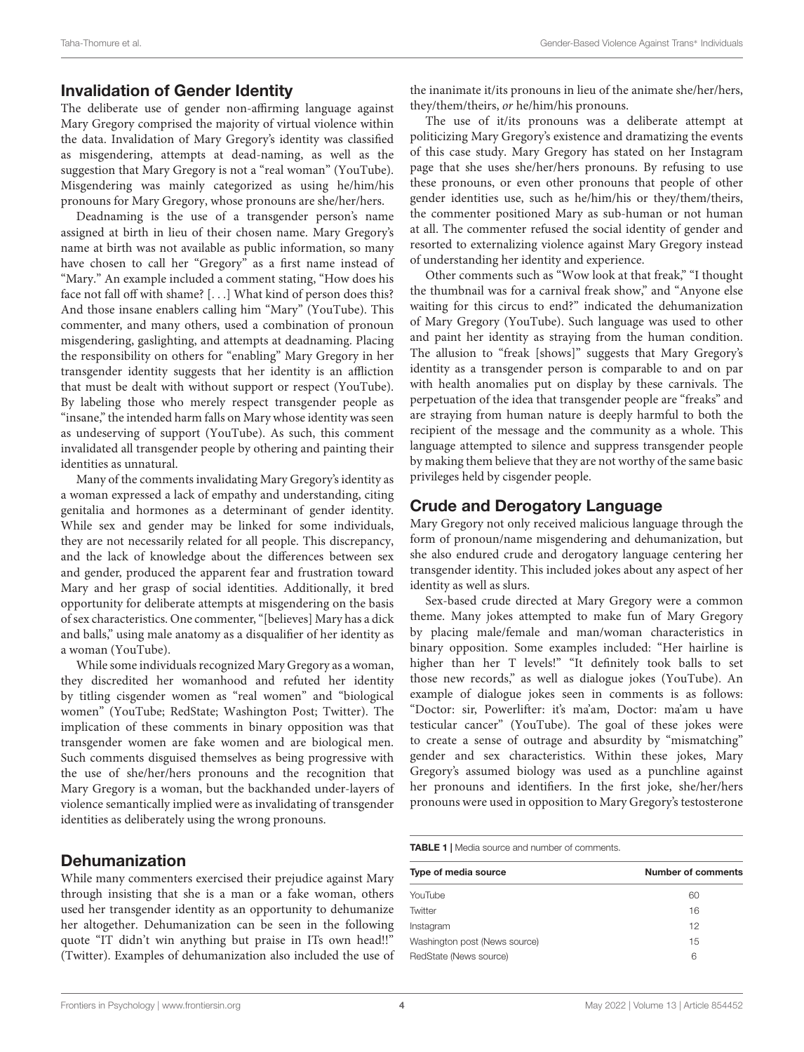# Invalidation of Gender Identity

The deliberate use of gender non-affirming language against Mary Gregory comprised the majority of virtual violence within the data. Invalidation of Mary Gregory's identity was classified as misgendering, attempts at dead-naming, as well as the suggestion that Mary Gregory is not a "real woman" (YouTube). Misgendering was mainly categorized as using he/him/his pronouns for Mary Gregory, whose pronouns are she/her/hers.

Deadnaming is the use of a transgender person's name assigned at birth in lieu of their chosen name. Mary Gregory's name at birth was not available as public information, so many have chosen to call her "Gregory" as a first name instead of "Mary." An example included a comment stating, "How does his face not fall off with shame? [. . .] What kind of person does this? And those insane enablers calling him "Mary" (YouTube). This commenter, and many others, used a combination of pronoun misgendering, gaslighting, and attempts at deadnaming. Placing the responsibility on others for "enabling" Mary Gregory in her transgender identity suggests that her identity is an affliction that must be dealt with without support or respect (YouTube). By labeling those who merely respect transgender people as "insane," the intended harm falls on Mary whose identity was seen as undeserving of support (YouTube). As such, this comment invalidated all transgender people by othering and painting their identities as unnatural.

Many of the comments invalidating Mary Gregory's identity as a woman expressed a lack of empathy and understanding, citing genitalia and hormones as a determinant of gender identity. While sex and gender may be linked for some individuals, they are not necessarily related for all people. This discrepancy, and the lack of knowledge about the differences between sex and gender, produced the apparent fear and frustration toward Mary and her grasp of social identities. Additionally, it bred opportunity for deliberate attempts at misgendering on the basis of sex characteristics. One commenter, "[believes] Mary has a dick and balls," using male anatomy as a disqualifier of her identity as a woman (YouTube).

While some individuals recognized Mary Gregory as a woman, they discredited her womanhood and refuted her identity by titling cisgender women as "real women" and "biological women" (YouTube; RedState; Washington Post; Twitter). The implication of these comments in binary opposition was that transgender women are fake women and are biological men. Such comments disguised themselves as being progressive with the use of she/her/hers pronouns and the recognition that Mary Gregory is a woman, but the backhanded under-layers of violence semantically implied were as invalidating of transgender identities as deliberately using the wrong pronouns.

# Dehumanization

While many commenters exercised their prejudice against Mary through insisting that she is a man or a fake woman, others used her transgender identity as an opportunity to dehumanize her altogether. Dehumanization can be seen in the following quote "IT didn't win anything but praise in ITs own head!!" (Twitter). Examples of dehumanization also included the use of the inanimate it/its pronouns in lieu of the animate she/her/hers, they/them/theirs, or he/him/his pronouns.

The use of it/its pronouns was a deliberate attempt at politicizing Mary Gregory's existence and dramatizing the events of this case study. Mary Gregory has stated on her Instagram page that she uses she/her/hers pronouns. By refusing to use these pronouns, or even other pronouns that people of other gender identities use, such as he/him/his or they/them/theirs, the commenter positioned Mary as sub-human or not human at all. The commenter refused the social identity of gender and resorted to externalizing violence against Mary Gregory instead of understanding her identity and experience.

Other comments such as "Wow look at that freak," "I thought the thumbnail was for a carnival freak show," and "Anyone else waiting for this circus to end?" indicated the dehumanization of Mary Gregory (YouTube). Such language was used to other and paint her identity as straying from the human condition. The allusion to "freak [shows]" suggests that Mary Gregory's identity as a transgender person is comparable to and on par with health anomalies put on display by these carnivals. The perpetuation of the idea that transgender people are "freaks" and are straying from human nature is deeply harmful to both the recipient of the message and the community as a whole. This language attempted to silence and suppress transgender people by making them believe that they are not worthy of the same basic privileges held by cisgender people.

# Crude and Derogatory Language

Mary Gregory not only received malicious language through the form of pronoun/name misgendering and dehumanization, but she also endured crude and derogatory language centering her transgender identity. This included jokes about any aspect of her identity as well as slurs.

Sex-based crude directed at Mary Gregory were a common theme. Many jokes attempted to make fun of Mary Gregory by placing male/female and man/woman characteristics in binary opposition. Some examples included: "Her hairline is higher than her T levels!" "It definitely took balls to set those new records," as well as dialogue jokes (YouTube). An example of dialogue jokes seen in comments is as follows: "Doctor: sir, Powerlifter: it's ma'am, Doctor: ma'am u have testicular cancer" (YouTube). The goal of these jokes were to create a sense of outrage and absurdity by "mismatching" gender and sex characteristics. Within these jokes, Mary Gregory's assumed biology was used as a punchline against her pronouns and identifiers. In the first joke, she/her/hers pronouns were used in opposition to Mary Gregory's testosterone

<span id="page-3-0"></span>TABLE 1 | Media source and number of comments.

| Type of media source          | <b>Number of comments</b> |
|-------------------------------|---------------------------|
| YouTube                       | 60                        |
| Twitter                       | 16                        |
| Instagram                     | 12                        |
| Washington post (News source) | 15                        |
| RedState (News source)        | 6                         |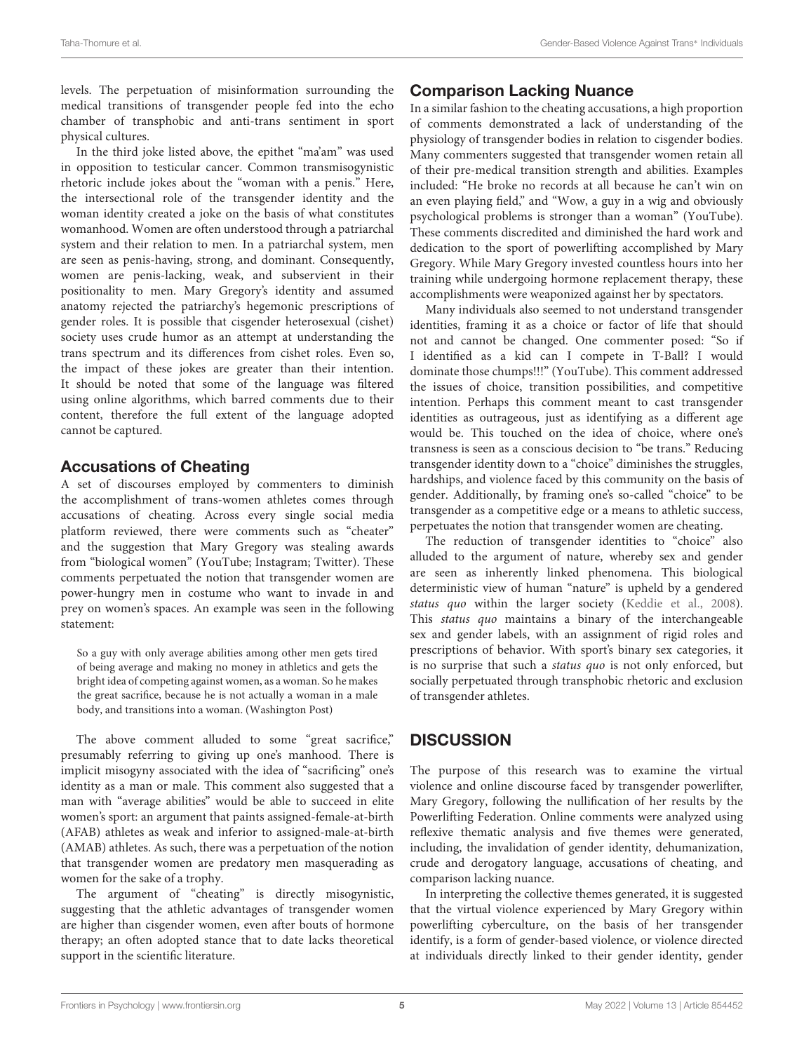levels. The perpetuation of misinformation surrounding the medical transitions of transgender people fed into the echo chamber of transphobic and anti-trans sentiment in sport physical cultures.

In the third joke listed above, the epithet "ma'am" was used in opposition to testicular cancer. Common transmisogynistic rhetoric include jokes about the "woman with a penis." Here, the intersectional role of the transgender identity and the woman identity created a joke on the basis of what constitutes womanhood. Women are often understood through a patriarchal system and their relation to men. In a patriarchal system, men are seen as penis-having, strong, and dominant. Consequently, women are penis-lacking, weak, and subservient in their positionality to men. Mary Gregory's identity and assumed anatomy rejected the patriarchy's hegemonic prescriptions of gender roles. It is possible that cisgender heterosexual (cishet) society uses crude humor as an attempt at understanding the trans spectrum and its differences from cishet roles. Even so, the impact of these jokes are greater than their intention. It should be noted that some of the language was filtered using online algorithms, which barred comments due to their content, therefore the full extent of the language adopted cannot be captured.

# Accusations of Cheating

A set of discourses employed by commenters to diminish the accomplishment of trans-women athletes comes through accusations of cheating. Across every single social media platform reviewed, there were comments such as "cheater" and the suggestion that Mary Gregory was stealing awards from "biological women" (YouTube; Instagram; Twitter). These comments perpetuated the notion that transgender women are power-hungry men in costume who want to invade in and prey on women's spaces. An example was seen in the following statement:

So a guy with only average abilities among other men gets tired of being average and making no money in athletics and gets the bright idea of competing against women, as a woman. So he makes the great sacrifice, because he is not actually a woman in a male body, and transitions into a woman. (Washington Post)

The above comment alluded to some "great sacrifice," presumably referring to giving up one's manhood. There is implicit misogyny associated with the idea of "sacrificing" one's identity as a man or male. This comment also suggested that a man with "average abilities" would be able to succeed in elite women's sport: an argument that paints assigned-female-at-birth (AFAB) athletes as weak and inferior to assigned-male-at-birth (AMAB) athletes. As such, there was a perpetuation of the notion that transgender women are predatory men masquerading as women for the sake of a trophy.

The argument of "cheating" is directly misogynistic, suggesting that the athletic advantages of transgender women are higher than cisgender women, even after bouts of hormone therapy; an often adopted stance that to date lacks theoretical support in the scientific literature.

# Comparison Lacking Nuance

In a similar fashion to the cheating accusations, a high proportion of comments demonstrated a lack of understanding of the physiology of transgender bodies in relation to cisgender bodies. Many commenters suggested that transgender women retain all of their pre-medical transition strength and abilities. Examples included: "He broke no records at all because he can't win on an even playing field," and "Wow, a guy in a wig and obviously psychological problems is stronger than a woman" (YouTube). These comments discredited and diminished the hard work and dedication to the sport of powerlifting accomplished by Mary Gregory. While Mary Gregory invested countless hours into her training while undergoing hormone replacement therapy, these accomplishments were weaponized against her by spectators.

Many individuals also seemed to not understand transgender identities, framing it as a choice or factor of life that should not and cannot be changed. One commenter posed: "So if I identified as a kid can I compete in T-Ball? I would dominate those chumps!!!" (YouTube). This comment addressed the issues of choice, transition possibilities, and competitive intention. Perhaps this comment meant to cast transgender identities as outrageous, just as identifying as a different age would be. This touched on the idea of choice, where one's transness is seen as a conscious decision to "be trans." Reducing transgender identity down to a "choice" diminishes the struggles, hardships, and violence faced by this community on the basis of gender. Additionally, by framing one's so-called "choice" to be transgender as a competitive edge or a means to athletic success, perpetuates the notion that transgender women are cheating.

The reduction of transgender identities to "choice" also alluded to the argument of nature, whereby sex and gender are seen as inherently linked phenomena. This biological deterministic view of human "nature" is upheld by a gendered status quo within the larger society [\(Keddie et al.,](#page-7-20) [2008\)](#page-7-20). This status quo maintains a binary of the interchangeable sex and gender labels, with an assignment of rigid roles and prescriptions of behavior. With sport's binary sex categories, it is no surprise that such a status quo is not only enforced, but socially perpetuated through transphobic rhetoric and exclusion of transgender athletes.

# **DISCUSSION**

The purpose of this research was to examine the virtual violence and online discourse faced by transgender powerlifter, Mary Gregory, following the nullification of her results by the Powerlifting Federation. Online comments were analyzed using reflexive thematic analysis and five themes were generated, including, the invalidation of gender identity, dehumanization, crude and derogatory language, accusations of cheating, and comparison lacking nuance.

In interpreting the collective themes generated, it is suggested that the virtual violence experienced by Mary Gregory within powerlifting cyberculture, on the basis of her transgender identify, is a form of gender-based violence, or violence directed at individuals directly linked to their gender identity, gender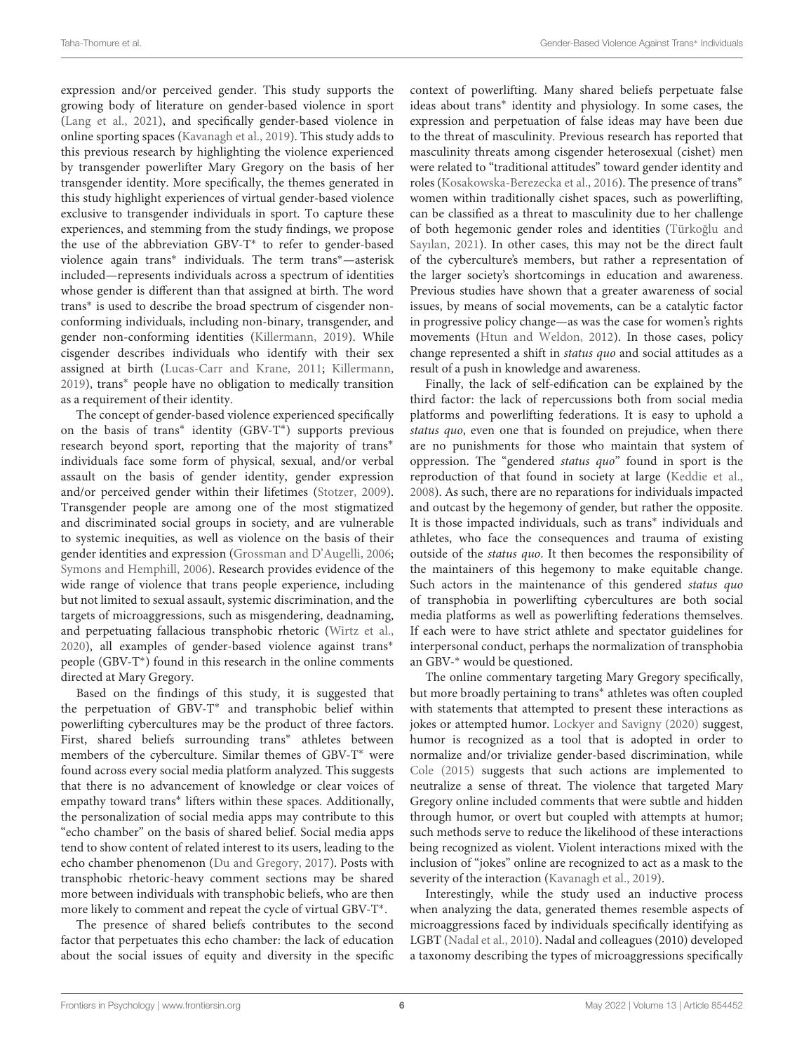expression and/or perceived gender. This study supports the growing body of literature on gender-based violence in sport [\(Lang et al.,](#page-7-21) [2021\)](#page-7-21), and specifically gender-based violence in online sporting spaces [\(Kavanagh et al.,](#page-7-12) [2019\)](#page-7-12). This study adds to this previous research by highlighting the violence experienced by transgender powerlifter Mary Gregory on the basis of her transgender identity. More specifically, the themes generated in this study highlight experiences of virtual gender-based violence exclusive to transgender individuals in sport. To capture these experiences, and stemming from the study findings, we propose the use of the abbreviation GBV-T<sup>∗</sup> to refer to gender-based violence again trans<sup>∗</sup> individuals. The term trans∗—asterisk included—represents individuals across a spectrum of identities whose gender is different than that assigned at birth. The word trans<sup>∗</sup> is used to describe the broad spectrum of cisgender nonconforming individuals, including non-binary, transgender, and gender non-conforming identities [\(Killermann,](#page-7-22) [2019\)](#page-7-22). While cisgender describes individuals who identify with their sex assigned at birth [\(Lucas-Carr and Krane,](#page-7-4) [2011;](#page-7-4) [Killermann,](#page-7-22) [2019\)](#page-7-22), trans<sup>∗</sup> people have no obligation to medically transition as a requirement of their identity.

The concept of gender-based violence experienced specifically on the basis of trans<sup>∗</sup> identity (GBV-T<sup>∗</sup> ) supports previous research beyond sport, reporting that the majority of trans<sup>∗</sup> individuals face some form of physical, sexual, and/or verbal assault on the basis of gender identity, gender expression and/or perceived gender within their lifetimes [\(Stotzer,](#page-7-23) [2009\)](#page-7-23). Transgender people are among one of the most stigmatized and discriminated social groups in society, and are vulnerable to systemic inequities, as well as violence on the basis of their gender identities and expression [\(Grossman and D'Augelli,](#page-7-24) [2006;](#page-7-24) [Symons and Hemphill,](#page-7-25) [2006\)](#page-7-25). Research provides evidence of the wide range of violence that trans people experience, including but not limited to sexual assault, systemic discrimination, and the targets of microaggressions, such as misgendering, deadnaming, and perpetuating fallacious transphobic rhetoric [\(Wirtz et al.,](#page-8-5) [2020\)](#page-8-5), all examples of gender-based violence against trans<sup>∗</sup> people (GBV-T<sup>\*</sup>) found in this research in the online comments directed at Mary Gregory.

Based on the findings of this study, it is suggested that the perpetuation of GBV-T<sup>∗</sup> and transphobic belief within powerlifting cybercultures may be the product of three factors. First, shared beliefs surrounding trans<sup>∗</sup> athletes between members of the cyberculture. Similar themes of GBV-T<sup>∗</sup> were found across every social media platform analyzed. This suggests that there is no advancement of knowledge or clear voices of empathy toward trans<sup>∗</sup> lifters within these spaces. Additionally, the personalization of social media apps may contribute to this "echo chamber" on the basis of shared belief. Social media apps tend to show content of related interest to its users, leading to the echo chamber phenomenon [\(Du and Gregory,](#page-7-26) [2017\)](#page-7-26). Posts with transphobic rhetoric-heavy comment sections may be shared more between individuals with transphobic beliefs, who are then more likely to comment and repeat the cycle of virtual GBV-T<sup>\*</sup>.

The presence of shared beliefs contributes to the second factor that perpetuates this echo chamber: the lack of education about the social issues of equity and diversity in the specific context of powerlifting. Many shared beliefs perpetuate false ideas about trans<sup>∗</sup> identity and physiology. In some cases, the expression and perpetuation of false ideas may have been due to the threat of masculinity. Previous research has reported that masculinity threats among cisgender heterosexual (cishet) men were related to "traditional attitudes" toward gender identity and roles [\(Kosakowska-Berezecka et al.,](#page-7-27) [2016\)](#page-7-27). The presence of trans<sup>∗</sup> women within traditionally cishet spaces, such as powerlifting, can be classified as a threat to masculinity due to her challenge of both hegemonic gender roles and identities (Türkoğlu and [Sayılan,](#page-8-6) [2021\)](#page-8-6). In other cases, this may not be the direct fault of the cyberculture's members, but rather a representation of the larger society's shortcomings in education and awareness. Previous studies have shown that a greater awareness of social issues, by means of social movements, can be a catalytic factor in progressive policy change—as was the case for women's rights movements [\(Htun and Weldon,](#page-7-28) [2012\)](#page-7-28). In those cases, policy change represented a shift in status quo and social attitudes as a result of a push in knowledge and awareness.

Finally, the lack of self-edification can be explained by the third factor: the lack of repercussions both from social media platforms and powerlifting federations. It is easy to uphold a status quo, even one that is founded on prejudice, when there are no punishments for those who maintain that system of oppression. The "gendered status quo" found in sport is the reproduction of that found in society at large [\(Keddie et al.,](#page-7-20) [2008\)](#page-7-20). As such, there are no reparations for individuals impacted and outcast by the hegemony of gender, but rather the opposite. It is those impacted individuals, such as trans<sup>∗</sup> individuals and athletes, who face the consequences and trauma of existing outside of the status quo. It then becomes the responsibility of the maintainers of this hegemony to make equitable change. Such actors in the maintenance of this gendered status quo of transphobia in powerlifting cybercultures are both social media platforms as well as powerlifting federations themselves. If each were to have strict athlete and spectator guidelines for interpersonal conduct, perhaps the normalization of transphobia an GBV-<sup>∗</sup> would be questioned.

The online commentary targeting Mary Gregory specifically, but more broadly pertaining to trans<sup>∗</sup> athletes was often coupled with statements that attempted to present these interactions as jokes or attempted humor. [Lockyer and Savigny](#page-7-29) [\(2020\)](#page-7-29) suggest, humor is recognized as a tool that is adopted in order to normalize and/or trivialize gender-based discrimination, while [Cole](#page-7-30) [\(2015\)](#page-7-30) suggests that such actions are implemented to neutralize a sense of threat. The violence that targeted Mary Gregory online included comments that were subtle and hidden through humor, or overt but coupled with attempts at humor; such methods serve to reduce the likelihood of these interactions being recognized as violent. Violent interactions mixed with the inclusion of "jokes" online are recognized to act as a mask to the severity of the interaction [\(Kavanagh et al.,](#page-7-12) [2019\)](#page-7-12).

Interestingly, while the study used an inductive process when analyzing the data, generated themes resemble aspects of microaggressions faced by individuals specifically identifying as LGBT [\(Nadal et al.,](#page-7-31) [2010\)](#page-7-31). Nadal and colleagues (2010) developed a taxonomy describing the types of microaggressions specifically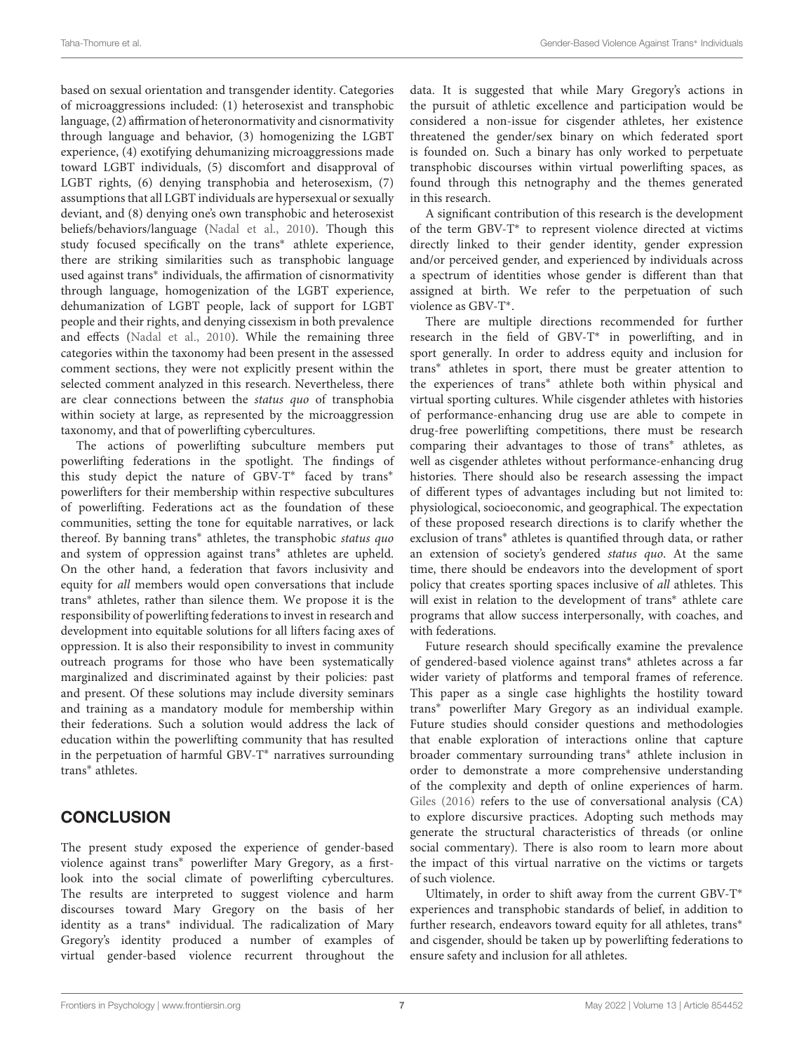based on sexual orientation and transgender identity. Categories of microaggressions included: (1) heterosexist and transphobic language, (2) affirmation of heteronormativity and cisnormativity through language and behavior, (3) homogenizing the LGBT experience, (4) exotifying dehumanizing microaggressions made toward LGBT individuals, (5) discomfort and disapproval of LGBT rights, (6) denying transphobia and heterosexism, (7) assumptions that all LGBT individuals are hypersexual or sexually deviant, and (8) denying one's own transphobic and heterosexist beliefs/behaviors/language [\(Nadal et al.,](#page-7-31) [2010\)](#page-7-31). Though this study focused specifically on the trans<sup>∗</sup> athlete experience, there are striking similarities such as transphobic language used against trans<sup>∗</sup> individuals, the affirmation of cisnormativity through language, homogenization of the LGBT experience, dehumanization of LGBT people, lack of support for LGBT people and their rights, and denying cissexism in both prevalence and effects [\(Nadal et al.,](#page-7-31) [2010\)](#page-7-31). While the remaining three categories within the taxonomy had been present in the assessed comment sections, they were not explicitly present within the selected comment analyzed in this research. Nevertheless, there are clear connections between the status quo of transphobia within society at large, as represented by the microaggression taxonomy, and that of powerlifting cybercultures.

The actions of powerlifting subculture members put powerlifting federations in the spotlight. The findings of this study depict the nature of GBV-T<sup>∗</sup> faced by trans<sup>∗</sup> powerlifters for their membership within respective subcultures of powerlifting. Federations act as the foundation of these communities, setting the tone for equitable narratives, or lack thereof. By banning trans<sup>∗</sup> athletes, the transphobic status quo and system of oppression against trans<sup>∗</sup> athletes are upheld. On the other hand, a federation that favors inclusivity and equity for all members would open conversations that include trans<sup>∗</sup> athletes, rather than silence them. We propose it is the responsibility of powerlifting federations to invest in research and development into equitable solutions for all lifters facing axes of oppression. It is also their responsibility to invest in community outreach programs for those who have been systematically marginalized and discriminated against by their policies: past and present. Of these solutions may include diversity seminars and training as a mandatory module for membership within their federations. Such a solution would address the lack of education within the powerlifting community that has resulted in the perpetuation of harmful GBV-T<sup>∗</sup> narratives surrounding trans<sup>∗</sup> athletes.

# **CONCLUSION**

The present study exposed the experience of gender-based violence against trans<sup>∗</sup> powerlifter Mary Gregory, as a firstlook into the social climate of powerlifting cybercultures. The results are interpreted to suggest violence and harm discourses toward Mary Gregory on the basis of her identity as a trans<sup>∗</sup> individual. The radicalization of Mary Gregory's identity produced a number of examples of virtual gender-based violence recurrent throughout the data. It is suggested that while Mary Gregory's actions in the pursuit of athletic excellence and participation would be considered a non-issue for cisgender athletes, her existence threatened the gender/sex binary on which federated sport is founded on. Such a binary has only worked to perpetuate transphobic discourses within virtual powerlifting spaces, as found through this netnography and the themes generated in this research.

A significant contribution of this research is the development of the term GBV-T<sup>∗</sup> to represent violence directed at victims directly linked to their gender identity, gender expression and/or perceived gender, and experienced by individuals across a spectrum of identities whose gender is different than that assigned at birth. We refer to the perpetuation of such violence as GBV-T<sup>∗</sup> .

There are multiple directions recommended for further research in the field of GBV-T<sup>∗</sup> in powerlifting, and in sport generally. In order to address equity and inclusion for trans<sup>∗</sup> athletes in sport, there must be greater attention to the experiences of trans<sup>∗</sup> athlete both within physical and virtual sporting cultures. While cisgender athletes with histories of performance-enhancing drug use are able to compete in drug-free powerlifting competitions, there must be research comparing their advantages to those of trans<sup>∗</sup> athletes, as well as cisgender athletes without performance-enhancing drug histories. There should also be research assessing the impact of different types of advantages including but not limited to: physiological, socioeconomic, and geographical. The expectation of these proposed research directions is to clarify whether the exclusion of trans<sup>∗</sup> athletes is quantified through data, or rather an extension of society's gendered status quo. At the same time, there should be endeavors into the development of sport policy that creates sporting spaces inclusive of all athletes. This will exist in relation to the development of trans<sup>∗</sup> athlete care programs that allow success interpersonally, with coaches, and with federations.

Future research should specifically examine the prevalence of gendered-based violence against trans<sup>∗</sup> athletes across a far wider variety of platforms and temporal frames of reference. This paper as a single case highlights the hostility toward trans<sup>∗</sup> powerlifter Mary Gregory as an individual example. Future studies should consider questions and methodologies that enable exploration of interactions online that capture broader commentary surrounding trans<sup>∗</sup> athlete inclusion in order to demonstrate a more comprehensive understanding of the complexity and depth of online experiences of harm. [Giles](#page-7-32) [\(2016\)](#page-7-32) refers to the use of conversational analysis (CA) to explore discursive practices. Adopting such methods may generate the structural characteristics of threads (or online social commentary). There is also room to learn more about the impact of this virtual narrative on the victims or targets of such violence.

Ultimately, in order to shift away from the current GBV-T<sup>∗</sup> experiences and transphobic standards of belief, in addition to further research, endeavors toward equity for all athletes, trans<sup>\*</sup> and cisgender, should be taken up by powerlifting federations to ensure safety and inclusion for all athletes.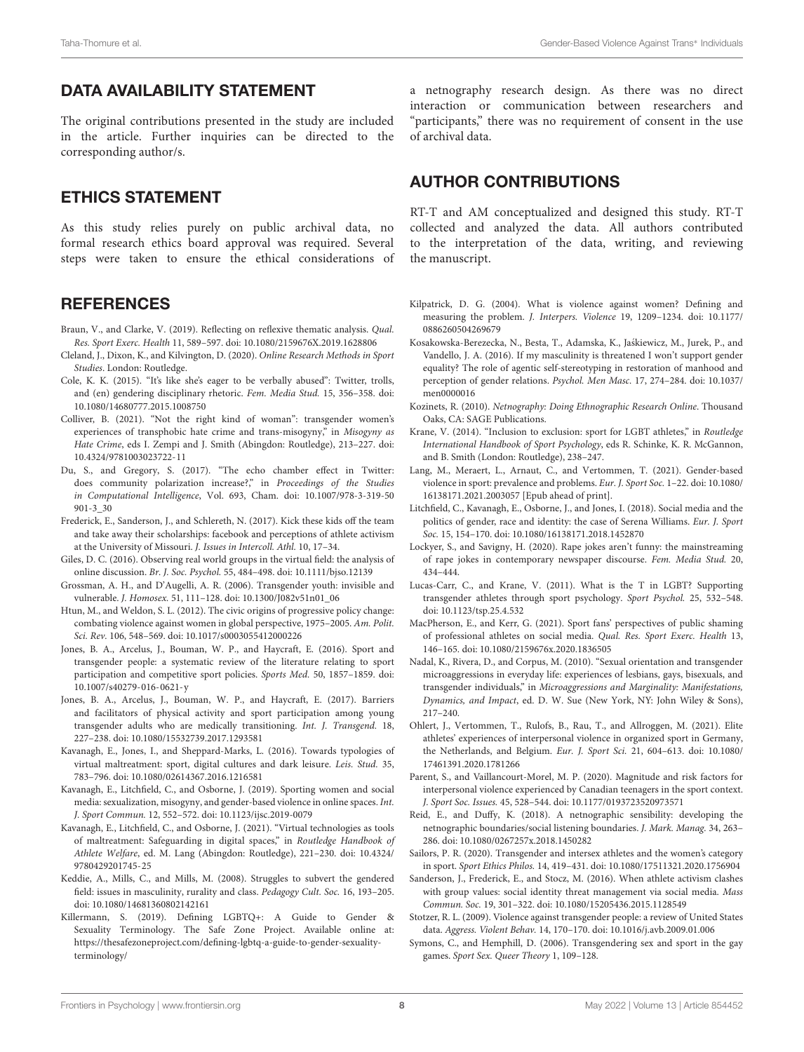# DATA AVAILABILITY STATEMENT

The original contributions presented in the study are included in the article. Further inquiries can be directed to the corresponding author/s.

# ETHICS STATEMENT

As this study relies purely on public archival data, no formal research ethics board approval was required. Several steps were taken to ensure the ethical considerations of

# **REFERENCES**

- <span id="page-7-19"></span>Braun, V., and Clarke, V. (2019). Reflecting on reflexive thematic analysis. Qual. Res. Sport Exerc. Health 11, 589–597. [doi: 10.1080/2159676X.2019.1628806](https://doi.org/10.1080/2159676X.2019.1628806)
- <span id="page-7-18"></span>Cleland, J., Dixon, K., and Kilvington, D. (2020). Online Research Methods in Sport Studies. London: Routledge.
- <span id="page-7-30"></span>Cole, K. K. (2015). "It's like she's eager to be verbally abused": Twitter, trolls, and (en) gendering disciplinary rhetoric. Fem. Media Stud. 15, 356–358. [doi:](https://doi.org/10.1080/14680777.2015.1008750) [10.1080/14680777.2015.1008750](https://doi.org/10.1080/14680777.2015.1008750)
- <span id="page-7-7"></span>Colliver, B. (2021). "Not the right kind of woman": transgender women's experiences of transphobic hate crime and trans-misogyny," in Misogyny as Hate Crime, eds I. Zempi and J. Smith (Abingdon: Routledge), 213–227. [doi:](https://doi.org/10.4324/9781003023722-11) [10.4324/9781003023722-11](https://doi.org/10.4324/9781003023722-11)
- <span id="page-7-26"></span>Du, S., and Gregory, S. (2017). "The echo chamber effect in Twitter: does community polarization increase?," in Proceedings of the Studies in Computational Intelligence, Vol. 693, Cham. [doi: 10.1007/978-3-319-50](https://doi.org/10.1007/978-3-319-50901-3_30) [901-3\\_30](https://doi.org/10.1007/978-3-319-50901-3_30)
- <span id="page-7-14"></span>Frederick, E., Sanderson, J., and Schlereth, N. (2017). Kick these kids off the team and take away their scholarships: facebook and perceptions of athlete activism at the University of Missouri. J. Issues in Intercoll. Athl. 10, 17–34.
- <span id="page-7-32"></span>Giles, D. C. (2016). Observing real world groups in the virtual field: the analysis of online discussion. Br. J. Soc. Psychol. 55, 484–498. [doi: 10.1111/bjso.12139](https://doi.org/10.1111/bjso.12139)
- <span id="page-7-24"></span>Grossman, A. H., and D'Augelli, A. R. (2006). Transgender youth: invisible and vulnerable. J. Homosex. 51, 111–128. [doi: 10.1300/J082v51n01\\_06](https://doi.org/10.1300/J082v51n01_06)
- <span id="page-7-28"></span>Htun, M., and Weldon, S. L. (2012). The civic origins of progressive policy change: combating violence against women in global perspective, 1975–2005. Am. Polit. Sci. Rev. 106, 548–569. [doi: 10.1017/s0003055412000226](https://doi.org/10.1017/s0003055412000226)
- <span id="page-7-5"></span>Jones, B. A., Arcelus, J., Bouman, W. P., and Haycraft, E. (2016). Sport and transgender people: a systematic review of the literature relating to sport participation and competitive sport policies. Sports Med. 50, 1857–1859. [doi:](https://doi.org/10.1007/s40279-016-0621-y) [10.1007/s40279-016-0621-y](https://doi.org/10.1007/s40279-016-0621-y)
- <span id="page-7-6"></span>Jones, B. A., Arcelus, J., Bouman, W. P., and Haycraft, E. (2017). Barriers and facilitators of physical activity and sport participation among young transgender adults who are medically transitioning. Int. J. Transgend. 18, 227–238. [doi: 10.1080/15532739.2017.1293581](https://doi.org/10.1080/15532739.2017.1293581)
- <span id="page-7-9"></span>Kavanagh, E., Jones, I., and Sheppard-Marks, L. (2016). Towards typologies of virtual maltreatment: sport, digital cultures and dark leisure. Leis. Stud. 35, 783–796. [doi: 10.1080/02614367.2016.1216581](https://doi.org/10.1080/02614367.2016.1216581)
- <span id="page-7-12"></span>Kavanagh, E., Litchfield, C., and Osborne, J. (2019). Sporting women and social media: sexualization, misogyny, and gender-based violence in online spaces. Int. J. Sport Commun. 12, 552–572. [doi: 10.1123/ijsc.2019-0079](https://doi.org/10.1123/ijsc.2019-0079)
- <span id="page-7-15"></span>Kavanagh, E., Litchfield, C., and Osborne, J. (2021). "Virtual technologies as tools of maltreatment: Safeguarding in digital spaces," in Routledge Handbook of Athlete Welfare, ed. M. Lang (Abingdon: Routledge), 221–230. [doi: 10.4324/](https://doi.org/10.4324/9780429201745-25) [9780429201745-25](https://doi.org/10.4324/9780429201745-25)
- <span id="page-7-20"></span>Keddie, A., Mills, C., and Mills, M. (2008). Struggles to subvert the gendered field: issues in masculinity, rurality and class. Pedagogy Cult. Soc. 16, 193–205. [doi: 10.1080/14681360802142161](https://doi.org/10.1080/14681360802142161)
- <span id="page-7-22"></span>Killermann, S. (2019). Defining LGBTQ+: A Guide to Gender & Sexuality Terminology. The Safe Zone Project. Available online at: [https://thesafezoneproject.com/defining-lgbtq-a-guide-to-gender-sexuality](https://thesafezoneproject.com/defining-lgbtq-a-guide-to-gender-sexuality-terminology/)[terminology/](https://thesafezoneproject.com/defining-lgbtq-a-guide-to-gender-sexuality-terminology/)

a netnography research design. As there was no direct interaction or communication between researchers and "participants," there was no requirement of consent in the use of archival data.

# AUTHOR CONTRIBUTIONS

RT-T and AM conceptualized and designed this study. RT-T collected and analyzed the data. All authors contributed to the interpretation of the data, writing, and reviewing the manuscript.

- <span id="page-7-0"></span>Kilpatrick, D. G. (2004). What is violence against women? Defining and measuring the problem. J. Interpers. Violence 19, 1209–1234. [doi: 10.1177/](https://doi.org/10.1177/0886260504269679) [0886260504269679](https://doi.org/10.1177/0886260504269679)
- <span id="page-7-27"></span>Kosakowska-Berezecka, N., Besta, T., Adamska, K., Jaśkiewicz, M., Jurek, P., and Vandello, J. A. (2016). If my masculinity is threatened I won't support gender equality? The role of agentic self-stereotyping in restoration of manhood and perception of gender relations. Psychol. Men Masc. 17, 274–284. [doi: 10.1037/](https://doi.org/10.1037/men0000016) [men0000016](https://doi.org/10.1037/men0000016)
- <span id="page-7-16"></span>Kozinets, R. (2010). Netnography: Doing Ethnographic Research Online. Thousand Oaks, CA: SAGE Publications.
- <span id="page-7-3"></span>Krane, V. (2014). "Inclusion to exclusion: sport for LGBT athletes," in Routledge International Handbook of Sport Psychology, eds R. Schinke, K. R. McGannon, and B. Smith (London: Routledge), 238–247.
- <span id="page-7-21"></span>Lang, M., Meraert, L., Arnaut, C., and Vertommen, T. (2021). Gender-based violence in sport: prevalence and problems. Eur. J. Sport Soc. 1–22. [doi: 10.1080/](https://doi.org/10.1080/16138171.2021.2003057) [16138171.2021.2003057](https://doi.org/10.1080/16138171.2021.2003057) [Epub ahead of print].
- <span id="page-7-11"></span>Litchfield, C., Kavanagh, E., Osborne, J., and Jones, I. (2018). Social media and the politics of gender, race and identity: the case of Serena Williams. Eur. J. Sport Soc. 15, 154–170. [doi: 10.1080/16138171.2018.1452870](https://doi.org/10.1080/16138171.2018.1452870)
- <span id="page-7-29"></span>Lockyer, S., and Savigny, H. (2020). Rape jokes aren't funny: the mainstreaming of rape jokes in contemporary newspaper discourse. Fem. Media Stud. 20, 434–444.
- <span id="page-7-4"></span>Lucas-Carr, C., and Krane, V. (2011). What is the T in LGBT? Supporting transgender athletes through sport psychology. Sport Psychol. 25, 532–548. [doi: 10.1123/tsp.25.4.532](https://doi.org/10.1123/tsp.25.4.532)
- <span id="page-7-10"></span>MacPherson, E., and Kerr, G. (2021). Sport fans' perspectives of public shaming of professional athletes on social media. Qual. Res. Sport Exerc. Health 13, 146–165. [doi: 10.1080/2159676x.2020.1836505](https://doi.org/10.1080/2159676x.2020.1836505)
- <span id="page-7-31"></span>Nadal, K., Rivera, D., and Corpus, M. (2010). "Sexual orientation and transgender microaggressions in everyday life: experiences of lesbians, gays, bisexuals, and transgender individuals," in Microaggressions and Marginality: Manifestations, Dynamics, and Impact, ed. D. W. Sue (New York, NY: John Wiley & Sons), 217–240.
- <span id="page-7-2"></span>Ohlert, J., Vertommen, T., Rulofs, B., Rau, T., and Allroggen, M. (2021). Elite athletes' experiences of interpersonal violence in organized sport in Germany, the Netherlands, and Belgium. Eur. J. Sport Sci. 21, 604–613. [doi: 10.1080/](https://doi.org/10.1080/17461391.2020.1781266) [17461391.2020.1781266](https://doi.org/10.1080/17461391.2020.1781266)
- <span id="page-7-1"></span>Parent, S., and Vaillancourt-Morel, M. P. (2020). Magnitude and risk factors for interpersonal violence experienced by Canadian teenagers in the sport context. J. Sport Soc. Issues. 45, 528–544. [doi: 10.1177/0193723520973571](https://doi.org/10.1177/0193723520973571)
- <span id="page-7-17"></span>Reid, E., and Duffy, K. (2018). A netnographic sensibility: developing the netnographic boundaries/social listening boundaries. J. Mark. Manag. 34, 263– 286. [doi: 10.1080/0267257x.2018.1450282](https://doi.org/10.1080/0267257x.2018.1450282)
- <span id="page-7-8"></span>Sailors, P. R. (2020). Transgender and intersex athletes and the women's category in sport. Sport Ethics Philos. 14, 419–431. [doi: 10.1080/17511321.2020.1756904](https://doi.org/10.1080/17511321.2020.1756904)
- <span id="page-7-13"></span>Sanderson, J., Frederick, E., and Stocz, M. (2016). When athlete activism clashes with group values: social identity threat management via social media. Mass Commun. Soc. 19, 301–322. [doi: 10.1080/15205436.2015.1128549](https://doi.org/10.1080/15205436.2015.1128549)
- <span id="page-7-23"></span>Stotzer, R. L. (2009). Violence against transgender people: a review of United States data. Aggress. Violent Behav. 14, 170–170. [doi: 10.1016/j.avb.2009.01.006](https://doi.org/10.1016/j.avb.2009.01.006)
- <span id="page-7-25"></span>Symons, C., and Hemphill, D. (2006). Transgendering sex and sport in the gay games. Sport Sex. Queer Theory 1, 109–128.